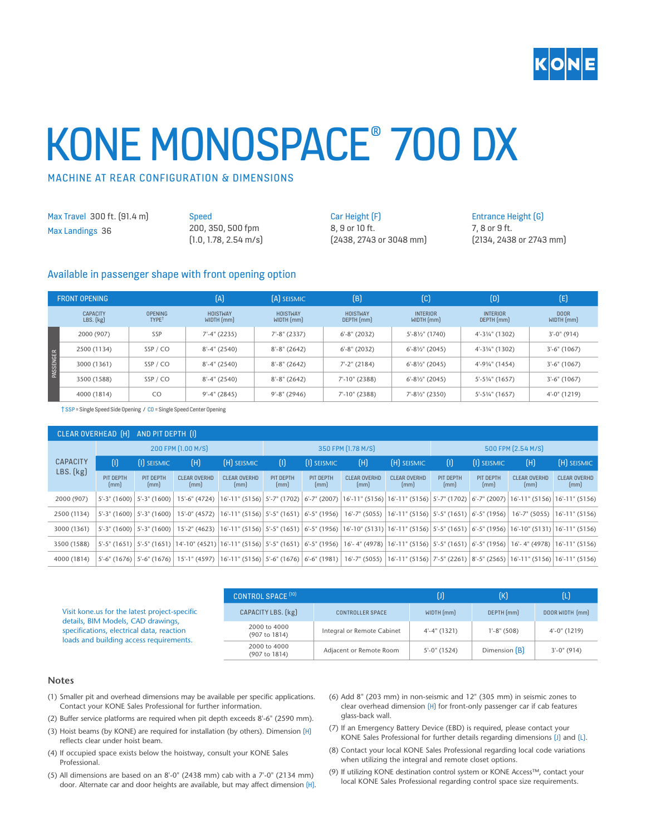

# KONE MONOSPACE® 700 DX

#### MACHINE AT REAR CONFIGURATION & DIMENSIONS

Max Travel 300 ft. (91.4 m) Max Landings 36

Speed 200, 350, 500 fpm (1.0, 1.78, 2.54 m/s) Car Height (F) 8, 9 or 10 ft. (2438, 2743 or 3048 mm)

Entrance Height (G) 7, 8 or 9 ft. (2134, 2438 or 2743 mm)

#### Available in passenger shape with front opening option

| <b>FRONT OPENING</b> |                              |                                     | (A)                           | [A] SEISMIC                                            | [B]               | (C)                           | (D)                           | (E)             |
|----------------------|------------------------------|-------------------------------------|-------------------------------|--------------------------------------------------------|-------------------|-------------------------------|-------------------------------|-----------------|
| PASSENGER            | <b>CAPACITY</b><br>LBS. [kg] | <b>OPENING</b><br>TYPE <sup>t</sup> | <b>HOISTWAY</b><br>WIDTH (mm) | HOISTWAY<br><b>HOISTWAY</b><br>WIDTH(mm)<br>DEPTH (mm) |                   | <b>INTERIOR</b><br>WIDTH (mm) | <b>INTERIOR</b><br>DEPTH (mm) |                 |
|                      | 2000 (907)                   | SSP                                 | $7'-4''$ (2235)               | $7' - 8'' (2337)$                                      | $6' - 8''$ (2032) | 5'-81/2" (1740)               | 4'-31/4" (1302)               | $3'-0''$ (914)  |
|                      | 2500 (1134)                  | SSP/CO                              | $8'-4''$ (2540)               | $8'-8''$ (2642)                                        | $6' - 8''$ (2032) | $6'-8\frac{1}{2}$ (2045)      | 4'-31/4" (1302)               | $3'-6''$ (1067) |
|                      | 3000 (1361)                  | SSP/CO                              | $8'-4''$ (2540)               | $8'-8''$ (2642)                                        | $7' - 2''$ (2184) | $6'-8\frac{1}{2}$ (2045)      | 4'-91/4" (1454)               | $3'-6''$ (1067) |
|                      | 3500 (1588)                  | SSP/CO                              | $8'-4''(2540)$                | $8'-8''$ (2642)                                        | 7'-10" (2388)     | $6'-8\frac{1}{2}$ (2045)      | $5' - 5\frac{1}{4}$ " (1657)  | $3'-6''$ (1067) |
|                      | 4000 (1814)                  | C <sub>O</sub>                      | $9'-4''$ (2845)               | $9'-8''$ (2946)                                        | 7'-10" (2388)     | $7'-8\frac{1}{2}$ " (2350)    | $5' - 5\frac{1}{4}$ " (1657)  | $4'-0''$ (1219) |

† SSP = Single Speed Side Opening / CO = Single Speed Center Opening

| CLEAR OVERHEAD (H) AND PIT DEPTH (I) |                    |                                |                             |                                                                                                                                                                           |                    |                   |                             |                             |                    |                   |                             |                                                                                                                                                                    |
|--------------------------------------|--------------------|--------------------------------|-----------------------------|---------------------------------------------------------------------------------------------------------------------------------------------------------------------------|--------------------|-------------------|-----------------------------|-----------------------------|--------------------|-------------------|-----------------------------|--------------------------------------------------------------------------------------------------------------------------------------------------------------------|
|                                      | 200 FPM (1.00 M/S) |                                |                             |                                                                                                                                                                           | 350 FPM (1.78 M/S) |                   |                             |                             | 500 FPM (2.54 M/S) |                   |                             |                                                                                                                                                                    |
| <b>CAPACITY</b>                      | $\left( 0 \right)$ | [I] SEISMIC                    | (H)                         | (H) SEISMIC                                                                                                                                                               | $[]$               | [I] SEISMIC       | (H)                         | (H) SEISMIC                 | $\left( 0\right)$  | [I] SEISMIC       | (H)                         | [H] SEISMIC                                                                                                                                                        |
| $LBS.$ $(kg)$                        | PIT DEPTH<br>[mm]  | PIT DEPTH<br>[mm]              | <b>CLEAR OVERHD</b><br>(mm) | <b>CLEAR OVERHD</b><br>[mm]                                                                                                                                               | PIT DEPTH<br>(mm)  | PIT DEPTH<br>[mm] | <b>CLEAR OVERHD</b><br>[mm] | <b>CLEAR OVERHD</b><br>[mm] | PIT DEPTH<br>[mm]  | PIT DEPTH<br>(mm) | <b>CLEAR OVERHD</b><br>[mm] | <b>CLEAR OVERHD</b><br>(mm)                                                                                                                                        |
| 2000 (907)                           |                    | $5'$ -3" (1600)   5'-3" (1600) | 15'-6" (4724)               | 16'-11" (5156)   5'-7" (1702)   6'-7" (2007)   16'-11" (5156)   16'-11" (5156)   5'-7" (1702)   6'-7" (2007)                                                              |                    |                   |                             |                             |                    |                   |                             | $ 16'$ -11" (5156) $ 16'$ -11" (5156)                                                                                                                              |
| 2500 (1134)                          |                    | $5'$ -3" (1600)   5'-3" (1600) | 15'-0" (4572)               | $\left  16'$ -11" (5156) $\left  5'$ -5" (1651) $\right  6'$ -5" (1956) $\left  16'$ -7" (5055) $\left  16'$ -11" (5156) $5'$ -5" (1651) $\left  6'$ -5" (1956) $\right $ |                    |                   |                             |                             |                    |                   | $16'$ -7" (5055)            | $16'$ -11" (5156)                                                                                                                                                  |
| 3000 (1361)                          |                    | $5'$ -3" (1600)   5'-3" (1600) | $15'-2$ " (4623)            |                                                                                                                                                                           |                    |                   |                             |                             |                    |                   |                             | $ 16'$ -11" (5156) $ 5'$ -5" (1651) $ 6'$ -5" (1956) $ 16'$ -10" (5131) $ 16'$ -11" (5156) $ 5'$ -5" (1651) $ 6'$ -5" (1956) $ 16'$ -10" (5131) $ 16'$ -11" (5156) |
| 3500 (1588)                          |                    | $5'$ -5" (1651)   5'-5" (1651) |                             | 14'-10" (4521) 16'-11" (5156) 5'-5" (1651) 6'-5" (1956) 16'-4" (4978) 16'-11" (5156) 5'-5" (1651) 6'-5" (1956) 16'-4" (4978)                                              |                    |                   |                             |                             |                    |                   |                             | $16'$ -11" (5156)                                                                                                                                                  |
| 4000 (1814)                          |                    | $5'-6''$ (1676)   5'-6" (1676) | $15'$ -1" (4597)            |                                                                                                                                                                           |                    |                   |                             |                             |                    |                   |                             | 16'-11" (5156)  5'-6" (1676)  6'-6" (1981)   16'-7" (5055)  16'-11" (5156)  7'-5" (2261)   8'-5" (2565)  16'-11" (5156)  16'-11" (5156)                            |

|                                                                                      | <b>CONTROL SPACE (10)</b>     |                            |                 | (K)                                 | Œ               |
|--------------------------------------------------------------------------------------|-------------------------------|----------------------------|-----------------|-------------------------------------|-----------------|
| Visit kone.us for the latest project-specific<br>details, BIM Models, CAD drawings,  | CAPACITY LBS. [kg]            | <b>CONTROLLER SPACE</b>    | WIDTH (mm)      | DEPTH (mm)                          | DOOR WIDTH (mm) |
| specifications, electrical data, reaction<br>loads and building access requirements. | 2000 to 4000<br>(907 to 1814) | Integral or Remote Cabinet | $4'-4''$ (1321) | $1'-8''$ (508)                      | $4'-0''(1219)$  |
|                                                                                      | 2000 to 4000<br>(907 to 1814) | Adjacent or Remote Room    | $5'-0''$ (1524) | Dimension $\left[\mathsf{B}\right]$ | $3'-0''$ (914)  |

#### **Notes**

- (1) Smaller pit and overhead dimensions may be available per specific applications. Contact your KONE Sales Professional for further information.
- (2) Buffer service platforms are required when pit depth exceeds 8'-6" (2590 mm).
- (3) Hoist beams (by KONE) are required for installation (by others). Dimension (H) reflects clear under hoist beam.
- (4) If occupied space exists below the hoistway, consult your KONE Sales Professional.
- (5) All dimensions are based on an  $8'-0$ " (2438 mm) cab with a  $7'-0$ " (2134 mm) door. Alternate car and door heights are available, but may affect dimension (H).
- (6) Add 8" (203 mm) in non-seismic and 12" (305 mm) in seismic zones to clear overhead dimension (H) for front-only passenger car if cab features glass-back wall.
- (7) If an Emergency Battery Device (EBD) is required, please contact your KONE Sales Professional for further details regarding dimensions (J) and (L).
- (8) Contact your local KONE Sales Professional regarding local code variations when utilizing the integral and remote closet options.
- (9) If utilizing KONE destination control system or KONE Access™, contact your local KONE Sales Professional regarding control space size requirements.